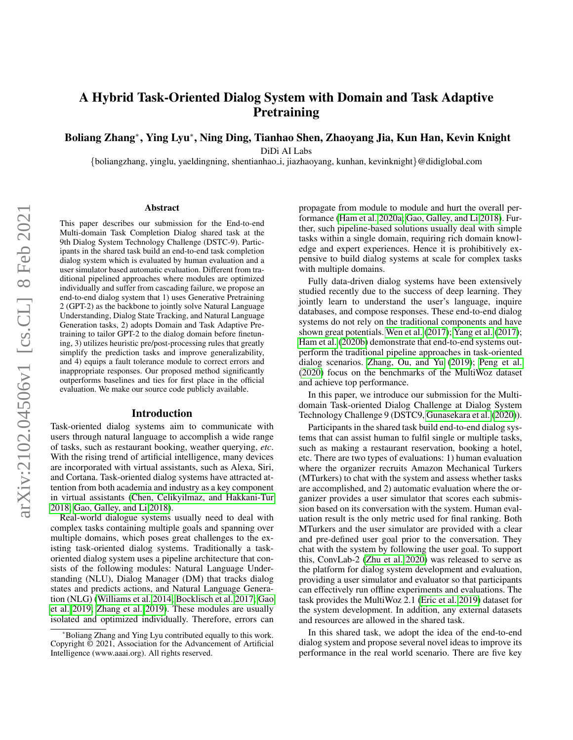# A Hybrid Task-Oriented Dialog System with Domain and Task Adaptive **Pretraining**

Boliang Zhang<sup>∗</sup> , Ying Lyu<sup>∗</sup> , Ning Ding, Tianhao Shen, Zhaoyang Jia, Kun Han, Kevin Knight

DiDi AI Labs

{boliangzhang, yinglu, yaeldingning, shentianhao i, jiazhaoyang, kunhan, kevinknight}@didiglobal.com

#### Abstract

This paper describes our submission for the End-to-end Multi-domain Task Completion Dialog shared task at the 9th Dialog System Technology Challenge (DSTC-9). Participants in the shared task build an end-to-end task completion dialog system which is evaluated by human evaluation and a user simulator based automatic evaluation. Different from traditional pipelined approaches where modules are optimized individually and suffer from cascading failure, we propose an end-to-end dialog system that 1) uses Generative Pretraining 2 (GPT-2) as the backbone to jointly solve Natural Language Understanding, Dialog State Tracking, and Natural Language Generation tasks, 2) adopts Domain and Task Adaptive Pretraining to tailor GPT-2 to the dialog domain before finetuning, 3) utilizes heuristic pre/post-processing rules that greatly simplify the prediction tasks and improve generalizability, and 4) equips a fault tolerance module to correct errors and inappropriate responses. Our proposed method significantly outperforms baselines and ties for first place in the official evaluation. We make our source code publicly available.

### Introduction

Task-oriented dialog systems aim to communicate with users through natural language to accomplish a wide range of tasks, such as restaurant booking, weather querying, *etc*. With the rising trend of artificial intelligence, many devices are incorporated with virtual assistants, such as Alexa, Siri, and Cortana. Task-oriented dialog systems have attracted attention from both academia and industry as a key component in virtual assistants [\(Chen, Celikyilmaz, and Hakkani-Tur](#page-7-0) [2018;](#page-7-0) [Gao, Galley, and Li 2018\)](#page-7-1).

Real-world dialogue systems usually need to deal with complex tasks containing multiple goals and spanning over multiple domains, which poses great challenges to the existing task-oriented dialog systems. Traditionally a taskoriented dialog system uses a pipeline architecture that consists of the following modules: Natural Language Understanding (NLU), Dialog Manager (DM) that tracks dialog states and predicts actions, and Natural Language Generation (NLG) [\(Williams et al. 2014;](#page-7-2) [Bocklisch et al. 2017;](#page-6-0) [Gao](#page-7-3) [et al. 2019;](#page-7-3) [Zhang et al. 2019\)](#page-7-4). These modules are usually isolated and optimized individually. Therefore, errors can propagate from module to module and hurt the overall performance [\(Ham et al. 2020a;](#page-7-5) [Gao, Galley, and Li 2018\)](#page-7-1). Further, such pipeline-based solutions usually deal with simple tasks within a single domain, requiring rich domain knowledge and expert experiences. Hence it is prohibitively expensive to build dialog systems at scale for complex tasks with multiple domains.

Fully data-driven dialog systems have been extensively studied recently due to the success of deep learning. They jointly learn to understand the user's language, inquire databases, and compose responses. These end-to-end dialog systems do not rely on the traditional components and have shown great potentials. [Wen et al.](#page-7-6) [\(2017\)](#page-7-6); [Yang et al.](#page-7-7) [\(2017\)](#page-7-7); [Ham et al.](#page-7-8) [\(2020b\)](#page-7-8) demonstrate that end-to-end systems outperform the traditional pipeline approaches in task-oriented dialog scenarios. [Zhang, Ou, and Yu](#page-7-9) [\(2019\)](#page-7-9); [Peng et al.](#page-7-10) [\(2020\)](#page-7-10) focus on the benchmarks of the MultiWoz dataset and achieve top performance.

In this paper, we introduce our submission for the Multidomain Task-oriented Dialog Challenge at Dialog System Technology Challenge 9 (DSTC9, [Gunasekara et al.](#page-7-11) [\(2020\)](#page-7-11)).

Participants in the shared task build end-to-end dialog systems that can assist human to fulfil single or multiple tasks, such as making a restaurant reservation, booking a hotel, etc. There are two types of evaluations: 1) human evaluation where the organizer recruits Amazon Mechanical Turkers (MTurkers) to chat with the system and assess whether tasks are accomplished, and 2) automatic evaluation where the organizer provides a user simulator that scores each submission based on its conversation with the system. Human evaluation result is the only metric used for final ranking. Both MTurkers and the user simulator are provided with a clear and pre-defined user goal prior to the conversation. They chat with the system by following the user goal. To support this, ConvLab-2 [\(Zhu et al. 2020\)](#page-8-0) was released to serve as the platform for dialog system development and evaluation, providing a user simulator and evaluator so that participants can effectively run offline experiments and evaluations. The task provides the MultiWoz 2.1 [\(Eric et al. 2019\)](#page-7-12) dataset for the system development. In addition, any external datasets and resources are allowed in the shared task.

In this shared task, we adopt the idea of the end-to-end dialog system and propose several novel ideas to improve its performance in the real world scenario. There are five key

<sup>\*</sup>Boliang Zhang and Ying Lyu contributed equally to this work. Copyright © 2021, Association for the Advancement of Artificial Intelligence (www.aaai.org). All rights reserved.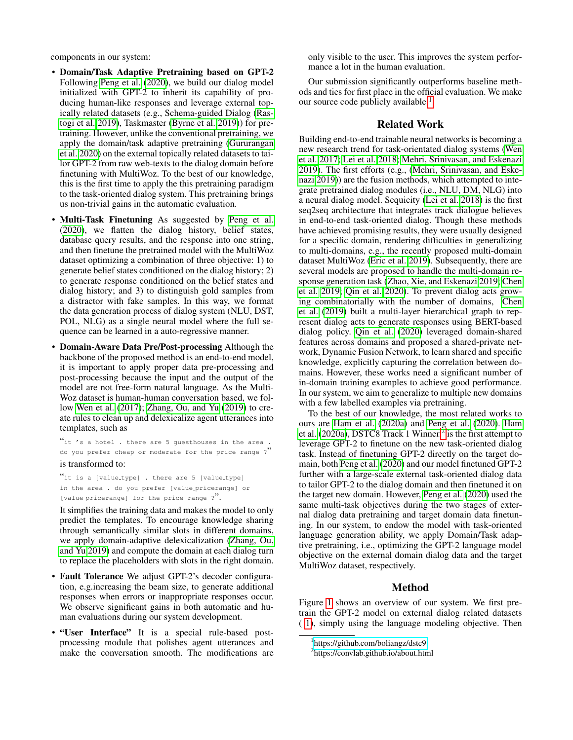components in our system:

- Domain/Task Adaptive Pretraining based on GPT-2 Following [Peng et al.](#page-7-10) [\(2020\)](#page-7-10), we build our dialog model initialized with GPT-2 to inherit its capability of producing human-like responses and leverage external topically related datasets (e.g., Schema-guided Dialog [\(Ras](#page-7-13)[togi et al. 2019\)](#page-7-13), Taskmaster [\(Byrne et al. 2019\)](#page-7-14)) for pretraining. However, unlike the conventional pretraining, we apply the domain/task adaptive pretraining [\(Gururangan](#page-7-15) [et al. 2020\)](#page-7-15) on the external topically related datasets to tailor GPT-2 from raw web-texts to the dialog domain before finetuning with MultiWoz. To the best of our knowledge, this is the first time to apply the this pretraining paradigm to the task-oriented dialog system. This pretraining brings us non-trivial gains in the automatic evaluation.
- Multi-Task Finetuning As suggested by [Peng et al.](#page-7-10) [\(2020\)](#page-7-10), we flatten the dialog history, belief states, database query results, and the response into one string, and then finetune the pretrained model with the MultiWoz dataset optimizing a combination of three objective: 1) to generate belief states conditioned on the dialog history; 2) to generate response conditioned on the belief states and dialog history; and 3) to distinguish gold samples from a distractor with fake samples. In this way, we format the data generation process of dialog system (NLU, DST, POL, NLG) as a single neural model where the full sequence can be learned in a auto-regressive manner.
- Domain-Aware Data Pre/Post-processing Although the backbone of the proposed method is an end-to-end model, it is important to apply proper data pre-processing and post-processing because the input and the output of the model are not free-form natural language. As the Multi-Woz dataset is human-human conversation based, we follow [Wen et al.](#page-7-6) [\(2017\)](#page-7-6); [Zhang, Ou, and Yu](#page-7-9) [\(2019\)](#page-7-9) to create rules to clean up and delexicalize agent utterances into templates, such as

"it 's a hotel . there are 5 guesthouses in the area . do you prefer cheap or moderate for the price range ?" is transformed to:

"it is a [value\_type] . there are 5 [value\_type] in the area . do you prefer [value pricerange] or [value pricerange] for the price range ?".

It simplifies the training data and makes the model to only predict the templates. To encourage knowledge sharing through semantically similar slots in different domains, we apply domain-adaptive delexicalization [\(Zhang, Ou,](#page-7-9) [and Yu 2019\)](#page-7-9) and compute the domain at each dialog turn to replace the placeholders with slots in the right domain.

- Fault Tolerance We adjust GPT-2's decoder configuration, e.g.increasing the beam size, to generate additional responses when errors or inappropriate responses occur. We observe significant gains in both automatic and human evaluations during our system development.
- "User Interface" It is a special rule-based postprocessing module that polishes agent utterances and make the conversation smooth. The modifications are

only visible to the user. This improves the system performance a lot in the human evaluation.

Our submission significantly outperforms baseline methods and ties for first place in the official evaluation. We make our source code publicly available.<sup>[1](#page-1-0)</sup>

### Related Work

Building end-to-end trainable neural networks is becoming a new research trend for task-orientated dialog systems [\(Wen](#page-7-6) [et al. 2017;](#page-7-6) [Lei et al. 2018;](#page-7-16) [Mehri, Srinivasan, and Eskenazi](#page-7-17) [2019\)](#page-7-17). The first efforts (e.g., [\(Mehri, Srinivasan, and Eske](#page-7-17)[nazi 2019\)](#page-7-17)) are the fusion methods, which attempted to integrate pretrained dialog modules (i.e., NLU, DM, NLG) into a neural dialog model. Sequicity [\(Lei et al. 2018\)](#page-7-16) is the first seq2seq architecture that integrates track dialogue believes in end-to-end task-oriented dialog. Though these methods have achieved promising results, they were usually designed for a specific domain, rendering difficulties in generalizing to multi-domains, e.g., the recently proposed multi-domain dataset MultiWoz [\(Eric et al. 2019\)](#page-7-12). Subsequently, there are several models are proposed to handle the multi-domain response generation task [\(Zhao, Xie, and Eskenazi 2019;](#page-8-1) [Chen](#page-7-18) [et al. 2019;](#page-7-18) [Qin et al. 2020\)](#page-7-19). To prevent dialog acts growing combinatorially with the number of domains, [Chen](#page-7-18) [et al.](#page-7-18) [\(2019\)](#page-7-18) built a multi-layer hierarchical graph to represent dialog acts to generate responses using BERT-based dialog policy. [Qin et al.](#page-7-19) [\(2020\)](#page-7-19) leveraged domain-shared features across domains and proposed a shared-private network, Dynamic Fusion Network, to learn shared and specific knowledge, explicitly capturing the correlation between domains. However, these works need a significant number of in-domain training examples to achieve good performance. In our system, we aim to generalize to multiple new domains with a few labelled examples via pretraining.

To the best of our knowledge, the most related works to ours are [Ham et al.](#page-7-5) [\(2020a\)](#page-7-5) and [Peng et al.](#page-7-10) [\(2020\)](#page-7-10). [Ham](#page-7-5) [et al.](#page-7-5) [\(2020a\)](#page-7-5), DSTC8 Track 1 Winner, $\frac{3}{7}$  is the first attempt to leverage GPT-2 to finetune on the new task-oriented dialog task. Instead of finetuning GPT-2 directly on the target domain, both [Peng et al.](#page-7-10) [\(2020\)](#page-7-10) and our model finetuned GPT-2 further with a large-scale external task-oriented dialog data to tailor GPT-2 to the dialog domain and then finetuned it on the target new domain. However, [Peng et al.](#page-7-10) [\(2020\)](#page-7-10) used the same multi-task objectives during the two stages of external dialog data pretraining and target domain data finetuning. In our system, to endow the model with task-oriented language generation ability, we apply Domain/Task adaptive pretraining, i.e., optimizing the GPT-2 language model objective on the external domain dialog data and the target MultiWoz dataset, respectively.

### Method

Figure [1](#page-2-0) shows an overview of our system. We first pretrain the GPT-2 model on external dialog related datasets ( [1\)](#page-5-0), simply using the language modeling objective. Then

<span id="page-1-0"></span><sup>1</sup> <https://github.com/boliangz/dstc9>

<span id="page-1-1"></span><sup>2</sup> https://convlab.github.io/about.html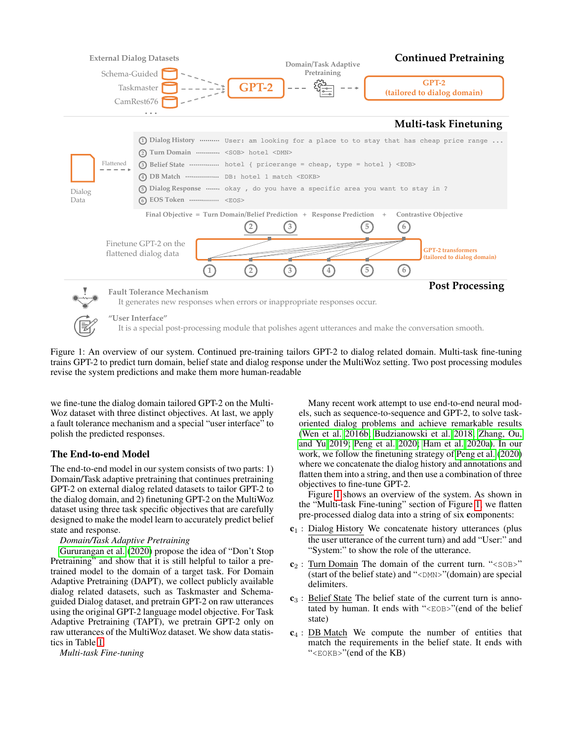<span id="page-2-0"></span>

Figure 1: An overview of our system. Continued pre-training tailors GPT-2 to dialog related domain. Multi-task fine-tuning trains GPT-2 to predict turn domain, belief state and dialog response under the MultiWoz setting. Two post processing modules revise the system predictions and make them more human-readable

we fine-tune the dialog domain tailored GPT-2 on the Multi-Woz dataset with three distinct objectives. At last, we apply a fault tolerance mechanism and a special "user interface" to polish the predicted responses.

# The End-to-end Model

The end-to-end model in our system consists of two parts: 1) Domain/Task adaptive pretraining that continues pretraining GPT-2 on external dialog related datasets to tailor GPT-2 to the dialog domain, and 2) finetuning GPT-2 on the MultiWoz dataset using three task specific objectives that are carefully designed to make the model learn to accurately predict belief state and response.

### *Domain/Task Adaptive Pretraining*

[Gururangan et al.](#page-7-15) [\(2020\)](#page-7-15) propose the idea of "Don't Stop Pretraining" and show that it is still helpful to tailor a pretrained model to the domain of a target task. For Domain Adaptive Pretraining (DAPT), we collect publicly available dialog related datasets, such as Taskmaster and Schemaguided Dialog dataset, and pretrain GPT-2 on raw utterances using the original GPT-2 language model objective. For Task Adaptive Pretraining (TAPT), we pretrain GPT-2 only on raw utterances of the MultiWoz dataset. We show data statistics in Table [1.](#page-5-0)

*Multi-task Fine-tuning*

Many recent work attempt to use end-to-end neural models, such as sequence-to-sequence and GPT-2, to solve taskoriented dialog problems and achieve remarkable results [\(Wen et al. 2016b;](#page-7-20) [Budzianowski et al. 2018;](#page-7-21) [Zhang, Ou,](#page-7-9) [and Yu 2019;](#page-7-9) [Peng et al. 2020;](#page-7-10) [Ham et al. 2020a\)](#page-7-5). In our work, we follow the finetuning strategy of [Peng et al.](#page-7-10) [\(2020\)](#page-7-10) where we concatenate the dialog history and annotations and flatten them into a string, and then use a combination of three objectives to fine-tune GPT-2.

Figure [1](#page-2-0) shows an overview of the system. As shown in the "Multi-task Fine-tuning" section of Figure [1,](#page-2-0) we flatten pre-processed dialog data into a string of six components:

- $c_1$ : Dialog History We concatenate history utterances (plus the user utterance of the current turn) and add "User:" and "System:" to show the role of the utterance.
- $c_2$ : Turn Domain The domain of the current turn. "<SOB>" (start of the belief state) and "<DMN>"(domain) are special delimiters.
- $c_3$ : Belief State The belief state of the current turn is annotated by human. It ends with "<EOB>"(end of the belief state)
- $c_4$ : DB Match We compute the number of entities that match the requirements in the belief state. It ends with "<EOKB>"(end of the KB)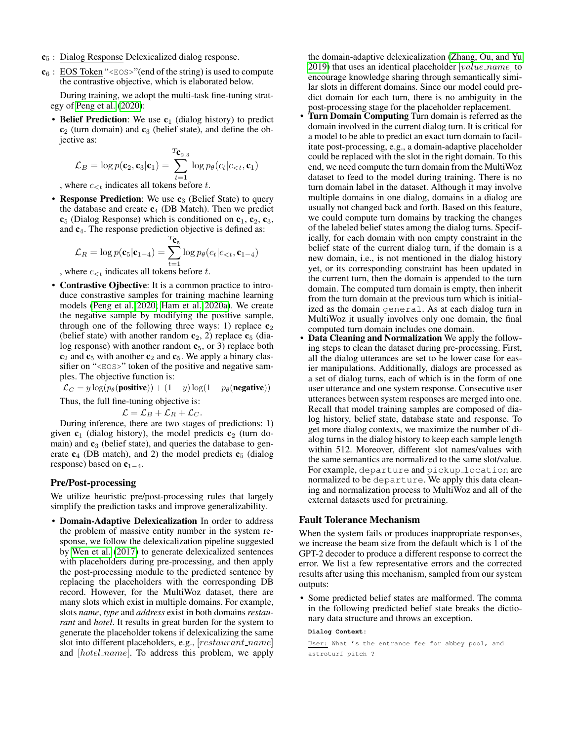- $c<sub>5</sub>$ : Dialog Response Delexicalized dialog response.
- $c_6$ : EOS Token "< $EOS$ )"(end of the string) is used to compute the contrastive objective, which is elaborated below.

During training, we adopt the multi-task fine-tuning strategy of [Peng et al.](#page-7-10) [\(2020\)](#page-7-10):

• Belief Prediction: We use  $c_1$  (dialog history) to predict  $c_2$  (turn domain) and  $c_3$  (belief state), and define the objective as:

$$
\mathcal{L}_B = \log p(\mathbf{c}_2, \mathbf{c}_3 | \mathbf{c}_1) = \sum_{t=1}^{T_{\mathbf{C}_{2,3}}} \log p_{\theta}(c_t | c_{\leq t}, \mathbf{c}_1)
$$

, where  $c_{\leq t}$  indicates all tokens before t.

• Response Prediction: We use  $c_3$  (Belief State) to query the database and create  $c_4$  (DB Match). Then we predict  $c_5$  (Dialog Response) which is conditioned on  $c_1$ ,  $c_2$ ,  $c_3$ , and  $c<sub>4</sub>$ . The response prediction objective is defined as:

$$
\mathcal{L}_R = \log p(\mathbf{c}_5|\mathbf{c}_{1-4}) = \sum_{t=1}^{T_{\mathbf{C}_5}} \log p_{\theta}(c_t|c_{< t}, \mathbf{c}_{1-4})
$$

, where  $c_{\leq t}$  indicates all tokens before t.

• Contrastive Ojbective: It is a common practice to introduce constrastive samples for training machine learning models [\(Peng et al. 2020;](#page-7-10) [Ham et al. 2020a\)](#page-7-5). We create the negative sample by modifying the positive sample, through one of the following three ways: 1) replace  $c_2$ (belief state) with another random  $c_2$ , 2) replace  $c_5$  (dialog response) with another random  $c_5$ , or 3) replace both  $c_2$  and  $c_5$  with another  $c_2$  and  $c_5$ . We apply a binary classifier on "<EOS>" token of the positive and negative samples. The objective function is:

 $\mathcal{L}_C = y \log(p_\theta(\text{positive})) + (1 - y) \log(1 - p_\theta(\text{negative}))$ 

Thus, the full fine-tuning objective is:

$$
\mathcal{L} = \mathcal{L}_B + \mathcal{L}_R + \mathcal{L}_C.
$$

During inference, there are two stages of predictions: 1) given  $c_1$  (dialog history), the model predicts  $c_2$  (turn domain) and  $c_3$  (belief state), and queries the database to generate  $c_4$  (DB match), and 2) the model predicts  $c_5$  (dialog response) based on  $c_{1-4}$ .

# Pre/Post-processing

We utilize heuristic pre/post-processing rules that largely simplify the prediction tasks and improve generalizability.

• Domain-Adaptive Delexicalization In order to address the problem of massive entity number in the system response, we follow the delexicalization pipeline suggested by [Wen et al.](#page-7-6) [\(2017\)](#page-7-6) to generate delexicalized sentences with placeholders during pre-processing, and then apply the post-processing module to the predicted sentence by replacing the placeholders with the corresponding DB record. However, for the MultiWoz dataset, there are many slots which exist in multiple domains. For example, slots *name*, *type* and *address* exist in both domains *restaurant* and *hotel*. It results in great burden for the system to generate the placeholder tokens if delexicalizing the same slot into different placeholders, e.g., [restaurant\_name] and [hotel\_name]. To address this problem, we apply the domain-adaptive delexicalization [\(Zhang, Ou, and Yu](#page-7-9) [2019\)](#page-7-9) that uses an identical placeholder  $[value\_name]$  to encourage knowledge sharing through semantically similar slots in different domains. Since our model could predict domain for each turn, there is no ambiguity in the post-processing stage for the placeholder replacement.

- Turn Domain Computing Turn domain is referred as the domain involved in the current dialog turn. It is critical for a model to be able to predict an exact turn domain to facilitate post-processing, e.g., a domain-adaptive placeholder could be replaced with the slot in the right domain. To this end, we need compute the turn domain from the MultiWoz dataset to feed to the model during training. There is no turn domain label in the dataset. Although it may involve multiple domains in one dialog, domains in a dialog are usually not changed back and forth. Based on this feature, we could compute turn domains by tracking the changes of the labeled belief states among the dialog turns. Specifically, for each domain with non empty constraint in the belief state of the current dialog turn, if the domain is a new domain, i.e., is not mentioned in the dialog history yet, or its corresponding constraint has been updated in the current turn, then the domain is appended to the turn domain. The computed turn domain is empty, then inherit from the turn domain at the previous turn which is initialized as the domain general. As at each dialog turn in MultiWoz it usually involves only one domain, the final computed turn domain includes one domain.
- Data Cleaning and Normalization We apply the following steps to clean the dataset during pre-processing. First, all the dialog utterances are set to be lower case for easier manipulations. Additionally, dialogs are processed as a set of dialog turns, each of which is in the form of one user utterance and one system response. Consecutive user utterances between system responses are merged into one. Recall that model training samples are composed of dialog history, belief state, database state and response. To get more dialog contexts, we maximize the number of dialog turns in the dialog history to keep each sample length within 512. Moreover, different slot names/values with the same semantics are normalized to the same slot/value. For example, departure and pickup location are normalized to be departure. We apply this data cleaning and normalization process to MultiWoz and all of the external datasets used for pretraining.

### Fault Tolerance Mechanism

When the system fails or produces inappropriate responses, we increase the beam size from the default which is 1 of the GPT-2 decoder to produce a different response to correct the error. We list a few representative errors and the corrected results after using this mechanism, sampled from our system outputs:

• Some predicted belief states are malformed. The comma in the following predicted belief state breaks the dictionary data structure and throws an exception.

**Dialog Context:**

User: What 's the entrance fee for abbey pool, and astroturf pitch ?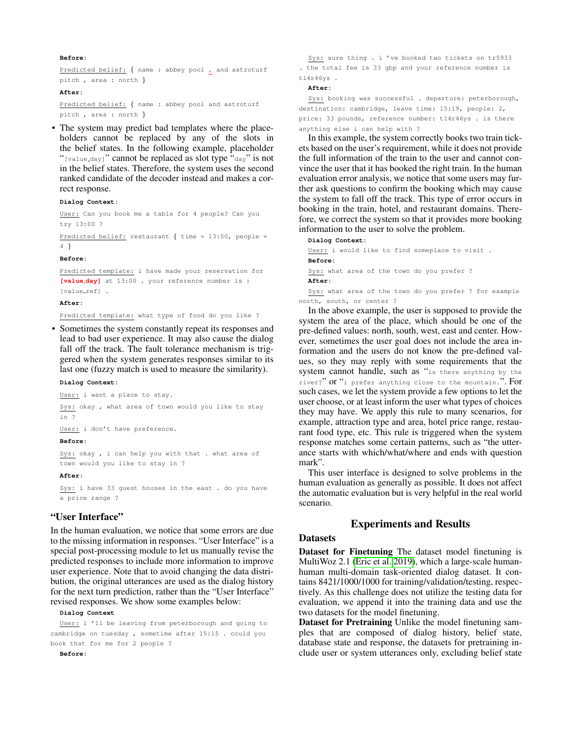#### **Before:**

Predicted belief: { name : abbey pool **,** and astroturf pitch , area : north }

#### **After:**

Predicted belief: { name : abbey pool and astroturf pitch , area : north }

• The system may predict bad templates where the placeholders cannot be replaced by any of the slots in the belief states. In the following example, placeholder "[value\_day]" cannot be replaced as slot type "day" is not in the belief states. Therefore, the system uses the second ranked candidate of the decoder instead and makes a correct response.

#### **Dialog Context:**

User: Can you book me a table for 4 people? Can you try 13:00 ?

Predicted belief: restaurant { time = 13:00, people = 4 }

#### **Before:**

Predicted template: i have made your reservation for **[value day]** at 13:00 . your reference number is : [value\_ref] .

#### **After:**

Predicted template: what type of food do you like ?

• Sometimes the system constantly repeat its responses and lead to bad user experience. It may also cause the dialog fall off the track. The fault tolerance mechanism is triggered when the system generates responses similar to its last one (fuzzy match is used to measure the similarity).

#### **Dialog Context:**

User: i want a place to stay.

Sys: okay , what area of town would you like to stay in ?

User: i don't have preference.

#### **Before:**

Sys: okay , i can help you with that . what area of town would you like to stay in ?

#### **After:**

Sys: i have 33 guest houses in the east . do you have a price range ?

# "User Interface"

In the human evaluation, we notice that some errors are due to the missing information in responses. "User Interface" is a special post-processing module to let us manually revise the predicted responses to include more information to improve user experience. Note that to avoid changing the data distribution, the original utterances are used as the dialog history for the next turn prediction, rather than the "User Interface" revised responses. We show some examples below:

#### **Dialog Context**

User: i 'll be leaving from peterborough and going to cambridge on tuesday , sometime after 15:15 . could you book that for me for 2 people ?

**Before:**

Sys: sure thing . i 've booked two tickets on tr5933 . the total fee is 33 gbp and your reference number is tl4r46ys .

#### **After:**

Sys: booking was successful . departure: peterborough, destination: cambridge, leave time: 15:19, people: 2, price: 33 pounds, reference number: tl4r46ys . is there anything else i can help with ?

In this example, the system correctly books two train tickets based on the user's requirement, while it does not provide the full information of the train to the user and cannot convince the user that it has booked the right train. In the human evaluation error analysis, we notice that some users may further ask questions to confirm the booking which may cause the system to fall off the track. This type of error occurs in booking in the train, hotel, and restaurant domains. Therefore, we correct the system so that it provides more booking information to the user to solve the problem.

**Dialog Context:** User: i would like to find someplace to visit . **Before:** Sys: what area of the town do you prefer ? **After:** Sys: what area of the town do you prefer ? for example north, south, or center ?

In the above example, the user is supposed to provide the system the area of the place, which should be one of the pre-defined values: north, south, west, east and center. However, sometimes the user goal does not include the area information and the users do not know the pre-defined values, so they may reply with some requirements that the system cannot handle, such as "is there anything by the river?" or "i prefer anything close to the mountain.". For such cases, we let the system provide a few options to let the user choose, or at least inform the user what types of choices they may have. We apply this rule to many scenarios, for example, attraction type and area, hotel price range, restaurant food type, etc. This rule is triggered when the system response matches some certain patterns, such as "the utterance starts with which/what/where and ends with question mark".

This user interface is designed to solve problems in the human evaluation as generally as possible. It does not affect the automatic evaluation but is very helpful in the real world scenario.

# Experiments and Results

# Datasets

Dataset for Finetuning The dataset model finetuning is MultiWoz 2.1 [\(Eric et al. 2019\)](#page-7-12), which a large-scale humanhuman multi-domain task-oriented dialog dataset. It contains 8421/1000/1000 for training/validation/testing, respectively. As this challenge does not utilize the testing data for evaluation, we append it into the training data and use the two datasets for the model finetuning.

Dataset for Pretraining Unlike the model finetuning samples that are composed of dialog history, belief state, database state and response, the datasets for pretraining include user or system utterances only, excluding belief state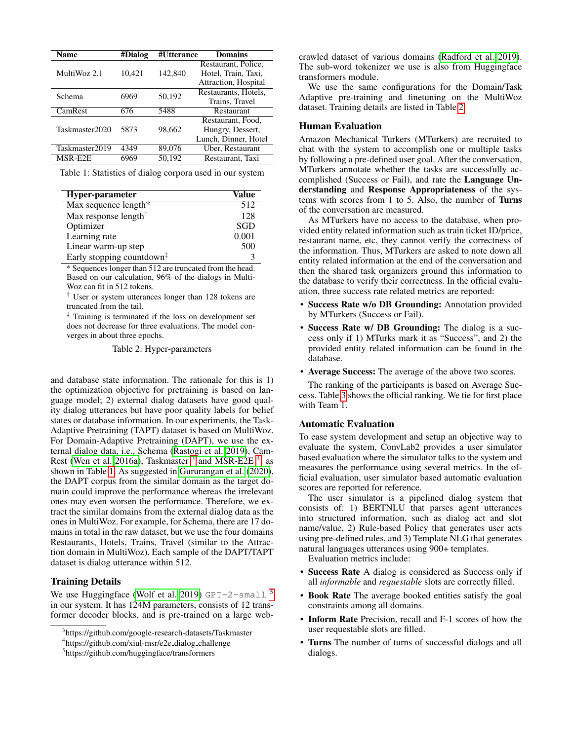<span id="page-5-0"></span>

| Name           | #Dialog | #Utterance | <b>Domains</b>       |  |  |
|----------------|---------|------------|----------------------|--|--|
|                |         |            | Restaurant, Police,  |  |  |
| MultiWoz 2.1   | 10,421  | 142,840    | Hotel, Train, Taxi,  |  |  |
|                |         |            | Attraction, Hospital |  |  |
| Schema         | 6969    | 50,192     | Restaurants, Hotels, |  |  |
|                |         |            | Trains, Travel       |  |  |
| CamRest        | 676     | 5488       | Restaurant           |  |  |
|                |         |            | Restaurant, Food,    |  |  |
| Taskmaster2020 | 5873    | 98.662     | Hungry, Dessert,     |  |  |
|                |         |            | Lunch, Dinner, Hotel |  |  |
| Taskmaster2019 | 4349    | 89,076     | Uber, Restaurant     |  |  |
| MSR-E2E        | 6969    | 50.192     | Restaurant, Taxi     |  |  |
|                |         |            |                      |  |  |

Table 1: Statistics of dialog corpora used in our system

<span id="page-5-4"></span>

| Hyper-parameter                                           | Value      |  |  |
|-----------------------------------------------------------|------------|--|--|
| Max sequence length*                                      | 512        |  |  |
| Max response length <sup>†</sup>                          | 128        |  |  |
| Optimizer                                                 | <b>SGD</b> |  |  |
| Learning rate                                             | 0.001      |  |  |
| Linear warm-up step                                       | 500        |  |  |
| Early stopping countdown <sup><math>\ddagger</math></sup> |            |  |  |

\* Sequences longer than 512 are truncated from the head. Based on our calculation, 96% of the dialogs in Multi-Woz can fit in 512 tokens.

† User or system utterances longer than 128 tokens are truncated from the tail.

‡ Training is terminated if the loss on development set does not decrease for three evaluations. The model converges in about three epochs.

Table 2: Hyper-parameters

and database state information. The rationale for this is 1) the optimization objective for pretraining is based on language model; 2) external dialog datasets have good quality dialog utterances but have poor quality labels for belief states or database information. In our experiments, the Task-Adaptive Pretraining (TAPT) dataset is based on MultiWoz. For Domain-Adaptive Pretraining (DAPT), we use the external dialog data, i.e., Schema [\(Rastogi et al. 2019\)](#page-7-13), Cam-Rest [\(Wen et al. 2016a\)](#page-7-22), Taskmaster  $3^{\circ}$  $3^{\circ}$  and MSR-E2E  $4^{\circ}$  $4^{\circ}$ , as shown in Table [1.](#page-5-0) As suggested in [Gururangan et al.](#page-7-15) [\(2020\)](#page-7-15), the DAPT corpus from the similar domain as the target domain could improve the performance whereas the irrelevant ones may even worsen the performance. Therefore, we extract the similar domains from the external dialog data as the ones in MultiWoz. For example, for Schema, there are 17 domains in total in the raw dataset, but we use the four domains Restaurants, Hotels, Trains, Travel (similar to the Attraction domain in MultiWoz). Each sample of the DAPT/TAPT dataset is dialog utterance within 512.

### Training Details

We use Huggingface [\(Wolf et al. 2019\)](#page-7-23) GPT-2-small  $^5$  $^5$ in our system. It has 124M parameters, consists of 12 transformer decoder blocks, and is pre-trained on a large webcrawled dataset of various domains [\(Radford et al. 2019\)](#page-7-24). The sub-word tokenizer we use is also from Huggingface transformers module.

We use the same configurations for the Domain/Task Adaptive pre-training and finetuning on the MultiWoz dataset. Training details are listed in Table [2.](#page-5-4)

### Human Evaluation

Amazon Mechanical Turkers (MTurkers) are recruited to chat with the system to accomplish one or multiple tasks by following a pre-defined user goal. After the conversation, MTurkers annotate whether the tasks are successfully accomplished (Success or Fail), and rate the Language Understanding and Response Appropriateness of the systems with scores from 1 to 5. Also, the number of Turns of the conversation are measured.

As MTurkers have no access to the database, when provided entity related information such as train ticket ID/price, restaurant name, etc, they cannot verify the correctness of the information. Thus, MTurkers are asked to note down all entity related information at the end of the conversation and then the shared task organizers ground this information to the database to verify their correctness. In the official evaluation, three success rate related metrics are reported:

- Success Rate w/o DB Grounding: Annotation provided by MTurkers (Success or Fail).
- Success Rate w/ DB Grounding: The dialog is a success only if 1) MTurks mark it as "Success", and 2) the provided entity related information can be found in the database.
- Average Success: The average of the above two scores.

The ranking of the participants is based on Average Success. Table [3](#page-6-1) shows the official ranking. We tie for first place with Team 1.

### Automatic Evaluation

To ease system development and setup an objective way to evaluate the system, ConvLab2 provides a user simulator based evaluation where the simulator talks to the system and measures the performance using several metrics. In the official evaluation, user simulator based automatic evaluation scores are reported for reference.

The user simulator is a pipelined dialog system that consists of: 1) BERTNLU that parses agent utterances into structured information, such as dialog act and slot name/value, 2) Rule-based Policy that generates user acts using pre-defined rules, and 3) Template NLG that generates natural languages utterances using 900+ templates.

Evaluation metrics include:

- Success Rate A dialog is considered as Success only if all *informable* and *requestable* slots are correctly filled.
- Book Rate The average booked entities satisfy the goal constraints among all domains.
- Inform Rate Precision, recall and F-1 scores of how the user requestable slots are filled.
- Turns The number of turns of successful dialogs and all dialogs.

<span id="page-5-1"></span><sup>3</sup> https://github.com/google-research-datasets/Taskmaster

<span id="page-5-2"></span><sup>4</sup> https://github.com/xiul-msr/e2e dialog challenge

<span id="page-5-3"></span><sup>5</sup> https://github.com/huggingface/transformers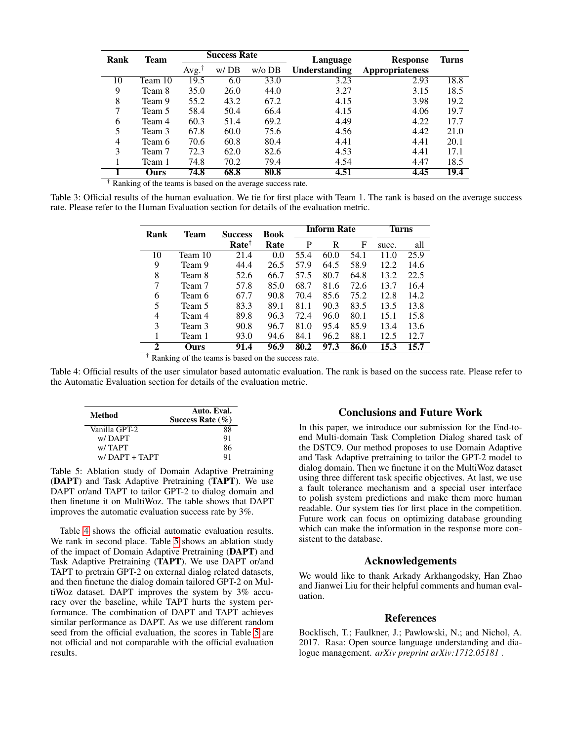<span id="page-6-1"></span>

| Rank                   | Team        | <b>Success Rate</b> |      | Language | <b>Response</b> | <b>Turns</b>           |      |
|------------------------|-------------|---------------------|------|----------|-----------------|------------------------|------|
|                        |             | Avg. <sup>T</sup>   | w/DB | $w/o$ DB | Understanding   | <b>Appropriateness</b> |      |
| 10                     | Team 10     | 19.5                | 6.0  | 33.0     | 3.23            | 2.93                   | 18.8 |
| 9                      | Team 8      | 35.0                | 26.0 | 44.0     | 3.27            | 3.15                   | 18.5 |
| 8                      | Team 9      | 55.2                | 43.2 | 67.2     | 4.15            | 3.98                   | 19.2 |
| 7                      | Team 5      | 58.4                | 50.4 | 66.4     | 4.15            | 4.06                   | 19.7 |
| 6                      | Team 4      | 60.3                | 51.4 | 69.2     | 4.49            | 4.22                   | 17.7 |
| 5                      | Team 3      | 67.8                | 60.0 | 75.6     | 4.56            | 4.42                   | 21.0 |
| 4                      | Team 6      | 70.6                | 60.8 | 80.4     | 4.41            | 4.41                   | 20.1 |
| 3                      | Team 7      | 72.3                | 62.0 | 82.6     | 4.53            | 4.41                   | 17.1 |
|                        | Team 1      | 74.8                | 70.2 | 79.4     | 4.54            | 4.47                   | 18.5 |
| $+ -$<br>$\sim$ $\sim$ | Ours<br>- - | 74.8                | 68.8 | 80.8     | 4.51            | 4.45                   | 19.4 |

† Ranking of the teams is based on the average success rate.

<span id="page-6-2"></span>Table 3: Official results of the human evaluation. We tie for first place with Team 1. The rank is based on the average success rate. Please refer to the Human Evaluation section for details of the evaluation metric.

| Rank         | <b>Team</b> | <b>Success</b>   | <b>Book</b> | <b>Inform Rate</b> |      |      | <b>Turns</b> |      |
|--------------|-------------|------------------|-------------|--------------------|------|------|--------------|------|
|              |             | $Rate^{\dagger}$ | Rate        | P                  | R    | F    | succ.        | all  |
| 10           | Team 10     | 21.4             | 0.0         | 55.4               | 60.0 | 54.1 | 11.0         | 25.9 |
| 9            | Team 9      | 44.4             | 26.5        | 57.9               | 64.5 | 58.9 | 12.2         | 14.6 |
| 8            | Team 8      | 52.6             | 66.7        | 57.5               | 80.7 | 64.8 | 13.2         | 22.5 |
| 7            | Team 7      | 57.8             | 85.0        | 68.7               | 81.6 | 72.6 | 13.7         | 16.4 |
| 6            | Team 6      | 67.7             | 90.8        | 70.4               | 85.6 | 75.2 | 12.8         | 14.2 |
| 5            | Team 5      | 83.3             | 89.1        | 81.1               | 90.3 | 83.5 | 13.5         | 13.8 |
| 4            | Team 4      | 89.8             | 96.3        | 72.4               | 96.0 | 80.1 | 15.1         | 15.8 |
| 3            | Team 3      | 90.8             | 96.7        | 81.0               | 95.4 | 85.9 | 13.4         | 13.6 |
|              | Team 1      | 93.0             | 94.6        | 84.1               | 96.2 | 88.1 | 12.5         | 12.7 |
| $\mathbf{2}$ | Ours        | 91.4             | 96.9        | 80.2               | 97.3 | 86.0 | 15.3         | 15.7 |

† Ranking of the teams is based on the success rate.

Table 4: Official results of the user simulator based automatic evaluation. The rank is based on the success rate. Please refer to the Automatic Evaluation section for details of the evaluation metric.

<span id="page-6-3"></span>

| Method          | Auto. Eval.<br>Success Rate $(\% )$ |  |  |
|-----------------|-------------------------------------|--|--|
| Vanilla GPT-2   | 88                                  |  |  |
| w/DAPT          | 91                                  |  |  |
| w/TAPT          | 86                                  |  |  |
| $w/DAPT + TAPT$ | Q 1                                 |  |  |

Table 5: Ablation study of Domain Adaptive Pretraining (DAPT) and Task Adaptive Pretraining (TAPT). We use DAPT or/and TAPT to tailor GPT-2 to dialog domain and then finetune it on MultiWoz. The table shows that DAPT improves the automatic evaluation success rate by 3%.

Table [4](#page-6-2) shows the official automatic evaluation results. We rank in second place. Table [5](#page-6-3) shows an ablation study of the impact of Domain Adaptive Pretraining (DAPT) and Task Adaptive Pretraining (TAPT). We use DAPT or/and TAPT to pretrain GPT-2 on external dialog related datasets, and then finetune the dialog domain tailored GPT-2 on MultiWoz dataset. DAPT improves the system by 3% accuracy over the baseline, while TAPT hurts the system performance. The combination of DAPT and TAPT achieves similar performance as DAPT. As we use different random seed from the official evaluation, the scores in Table [5](#page-6-3) are not official and not comparable with the official evaluation results.

# Conclusions and Future Work

In this paper, we introduce our submission for the End-toend Multi-domain Task Completion Dialog shared task of the DSTC9. Our method proposes to use Domain Adaptive and Task Adaptive pretraining to tailor the GPT-2 model to dialog domain. Then we finetune it on the MultiWoz dataset using three different task specific objectives. At last, we use a fault tolerance mechanism and a special user interface to polish system predictions and make them more human readable. Our system ties for first place in the competition. Future work can focus on optimizing database grounding which can make the information in the response more consistent to the database.

# Acknowledgements

We would like to thank Arkady Arkhangodsky, Han Zhao and Jianwei Liu for their helpful comments and human evaluation.

# References

<span id="page-6-0"></span>Bocklisch, T.; Faulkner, J.; Pawlowski, N.; and Nichol, A. 2017. Rasa: Open source language understanding and dialogue management. *arXiv preprint arXiv:1712.05181* .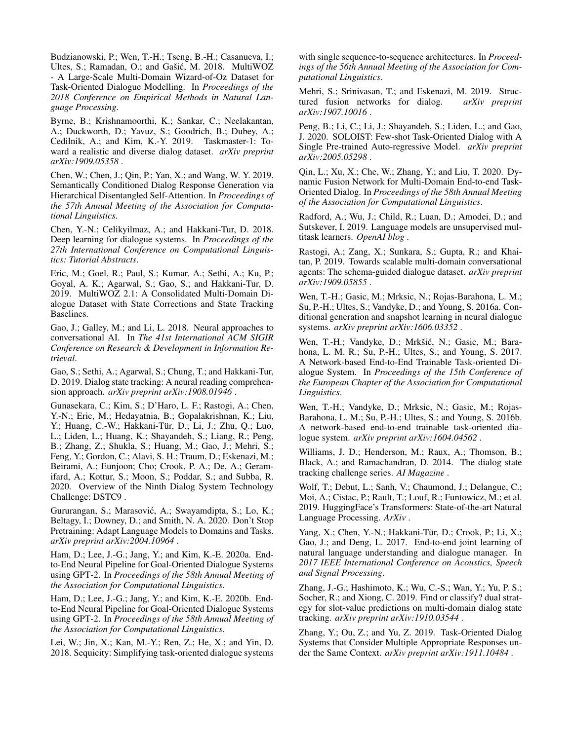<span id="page-7-21"></span>Budzianowski, P.; Wen, T.-H.; Tseng, B.-H.; Casanueva, I.; Ultes, S.; Ramadan, O.; and Gašić, M. 2018. MultiWOZ - A Large-Scale Multi-Domain Wizard-of-Oz Dataset for Task-Oriented Dialogue Modelling. In *Proceedings of the 2018 Conference on Empirical Methods in Natural Language Processing*.

<span id="page-7-14"></span>Byrne, B.; Krishnamoorthi, K.; Sankar, C.; Neelakantan, A.; Duckworth, D.; Yavuz, S.; Goodrich, B.; Dubey, A.; Cedilnik, A.; and Kim, K.-Y. 2019. Taskmaster-1: Toward a realistic and diverse dialog dataset. *arXiv preprint arXiv:1909.05358* .

<span id="page-7-18"></span>Chen, W.; Chen, J.; Qin, P.; Yan, X.; and Wang, W. Y. 2019. Semantically Conditioned Dialog Response Generation via Hierarchical Disentangled Self-Attention. In *Proceedings of the 57th Annual Meeting of the Association for Computational Linguistics*.

<span id="page-7-0"></span>Chen, Y.-N.; Celikyilmaz, A.; and Hakkani-Tur, D. 2018. Deep learning for dialogue systems. In *Proceedings of the 27th International Conference on Computational Linguistics: Tutorial Abstracts*.

<span id="page-7-12"></span>Eric, M.; Goel, R.; Paul, S.; Kumar, A.; Sethi, A.; Ku, P.; Goyal, A. K.; Agarwal, S.; Gao, S.; and Hakkani-Tur, D. 2019. MultiWOZ 2.1: A Consolidated Multi-Domain Dialogue Dataset with State Corrections and State Tracking Baselines.

<span id="page-7-1"></span>Gao, J.; Galley, M.; and Li, L. 2018. Neural approaches to conversational AI. In *The 41st International ACM SIGIR Conference on Research & Development in Information Retrieval*.

<span id="page-7-3"></span>Gao, S.; Sethi, A.; Agarwal, S.; Chung, T.; and Hakkani-Tur, D. 2019. Dialog state tracking: A neural reading comprehension approach. *arXiv preprint arXiv:1908.01946* .

<span id="page-7-11"></span>Gunasekara, C.; Kim, S.; D'Haro, L. F.; Rastogi, A.; Chen, Y.-N.; Eric, M.; Hedayatnia, B.; Gopalakrishnan, K.; Liu, Y.; Huang, C.-W.; Hakkani-Tür, D.; Li, J.; Zhu, Q.; Luo, L.; Liden, L.; Huang, K.; Shayandeh, S.; Liang, R.; Peng, B.; Zhang, Z.; Shukla, S.; Huang, M.; Gao, J.; Mehri, S.; Feng, Y.; Gordon, C.; Alavi, S. H.; Traum, D.; Eskenazi, M.; Beirami, A.; Eunjoon; Cho; Crook, P. A.; De, A.; Geramifard, A.; Kottur, S.; Moon, S.; Poddar, S.; and Subba, R. 2020. Overview of the Ninth Dialog System Technology Challenge: DSTC9 .

<span id="page-7-15"></span>Gururangan, S.; Marasović, A.; Swayamdipta, S.; Lo, K.; Beltagy, I.; Downey, D.; and Smith, N. A. 2020. Don't Stop Pretraining: Adapt Language Models to Domains and Tasks. *arXiv preprint arXiv:2004.10964* .

<span id="page-7-5"></span>Ham, D.; Lee, J.-G.; Jang, Y.; and Kim, K.-E. 2020a. Endto-End Neural Pipeline for Goal-Oriented Dialogue Systems using GPT-2. In *Proceedings of the 58th Annual Meeting of the Association for Computational Linguistics*.

<span id="page-7-8"></span>Ham, D.; Lee, J.-G.; Jang, Y.; and Kim, K.-E. 2020b. Endto-End Neural Pipeline for Goal-Oriented Dialogue Systems using GPT-2. In *Proceedings of the 58th Annual Meeting of the Association for Computational Linguistics*.

<span id="page-7-16"></span>Lei, W.; Jin, X.; Kan, M.-Y.; Ren, Z.; He, X.; and Yin, D. 2018. Sequicity: Simplifying task-oriented dialogue systems

with single sequence-to-sequence architectures. In *Proceedings of the 56th Annual Meeting of the Association for Computational Linguistics*.

<span id="page-7-17"></span>Mehri, S.; Srinivasan, T.; and Eskenazi, M. 2019. Structured fusion networks for dialog. *arXiv preprint arXiv:1907.10016* .

<span id="page-7-10"></span>Peng, B.; Li, C.; Li, J.; Shayandeh, S.; Liden, L.; and Gao, J. 2020. SOLOIST: Few-shot Task-Oriented Dialog with A Single Pre-trained Auto-regressive Model. *arXiv preprint arXiv:2005.05298* .

<span id="page-7-19"></span>Qin, L.; Xu, X.; Che, W.; Zhang, Y.; and Liu, T. 2020. Dynamic Fusion Network for Multi-Domain End-to-end Task-Oriented Dialog. In *Proceedings of the 58th Annual Meeting of the Association for Computational Linguistics*.

<span id="page-7-24"></span>Radford, A.; Wu, J.; Child, R.; Luan, D.; Amodei, D.; and Sutskever, I. 2019. Language models are unsupervised multitask learners. *OpenAI blog* .

<span id="page-7-13"></span>Rastogi, A.; Zang, X.; Sunkara, S.; Gupta, R.; and Khaitan, P. 2019. Towards scalable multi-domain conversational agents: The schema-guided dialogue dataset. *arXiv preprint arXiv:1909.05855* .

<span id="page-7-22"></span>Wen, T.-H.; Gasic, M.; Mrksic, N.; Rojas-Barahona, L. M.; Su, P.-H.; Ultes, S.; Vandyke, D.; and Young, S. 2016a. Conditional generation and snapshot learning in neural dialogue systems. *arXiv preprint arXiv:1606.03352* .

<span id="page-7-6"></span>Wen, T.-H.; Vandyke, D.; Mrkšić, N.; Gasic, M.; Barahona, L. M. R.; Su, P.-H.; Ultes, S.; and Young, S. 2017. A Network-based End-to-End Trainable Task-oriented Dialogue System. In *Proceedings of the 15th Conference of the European Chapter of the Association for Computational Linguistics*.

<span id="page-7-20"></span>Wen, T.-H.; Vandyke, D.; Mrksic, N.; Gasic, M.; Rojas-Barahona, L. M.; Su, P.-H.; Ultes, S.; and Young, S. 2016b. A network-based end-to-end trainable task-oriented dialogue system. *arXiv preprint arXiv:1604.04562* .

<span id="page-7-2"></span>Williams, J. D.; Henderson, M.; Raux, A.; Thomson, B.; Black, A.; and Ramachandran, D. 2014. The dialog state tracking challenge series. *AI Magazine* .

<span id="page-7-23"></span>Wolf, T.; Debut, L.; Sanh, V.; Chaumond, J.; Delangue, C.; Moi, A.; Cistac, P.; Rault, T.; Louf, R.; Funtowicz, M.; et al. 2019. HuggingFace's Transformers: State-of-the-art Natural Language Processing. *ArXiv* .

<span id="page-7-7"></span>Yang, X.; Chen, Y.-N.; Hakkani-Tür, D.; Crook, P.; Li, X.; Gao, J.; and Deng, L. 2017. End-to-end joint learning of natural language understanding and dialogue manager. In *2017 IEEE International Conference on Acoustics, Speech and Signal Processing*.

<span id="page-7-4"></span>Zhang, J.-G.; Hashimoto, K.; Wu, C.-S.; Wan, Y.; Yu, P. S.; Socher, R.; and Xiong, C. 2019. Find or classify? dual strategy for slot-value predictions on multi-domain dialog state tracking. *arXiv preprint arXiv:1910.03544* .

<span id="page-7-9"></span>Zhang, Y.; Ou, Z.; and Yu, Z. 2019. Task-Oriented Dialog Systems that Consider Multiple Appropriate Responses under the Same Context. *arXiv preprint arXiv:1911.10484* .